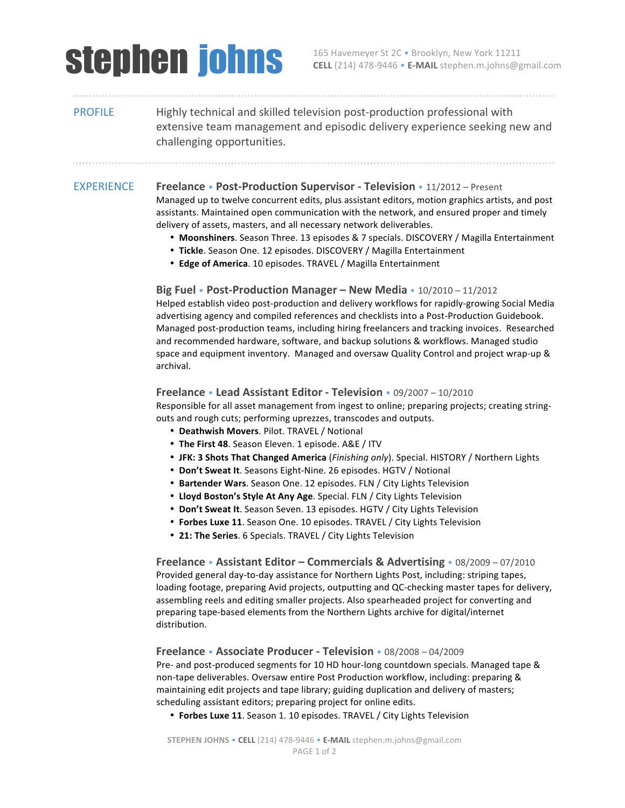# Stephen.m.johns@g

**CELL** (214) 478-9446 • **E-MAIL** stephen.m.johns@gmail.com

## PROFILE Highly technical and skilled television post-production professional with extensive team management and episodic delivery experience seeking new and challenging opportunities.

## **EXPERIENCE Freelance • Post-Production Supervisor - Television • 11/2012 – Present**

Managed up to twelve concurrent edits, plus assistant editors, motion graphics artists, and post assistants. Maintained open communication with the network, and ensured proper and timely delivery of assets, masters, and all necessary network deliverables.

- Moonshiners. Season Three. 13 episodes & 7 specials. DISCOVERY / Magilla Entertainment
- Tickle. Season One. 12 episodes. DISCOVERY / Magilla Entertainment
- Edge of America. 10 episodes. TRAVEL / Magilla Entertainment

### **Big Fuel** • **Post-Production Manager** – **New Media** • 10/2010 – 11/2012

Helped establish video post-production and delivery workflows for rapidly-growing Social Media advertising agency and compiled references and checklists into a Post-Production Guidebook. Managed post-production teams, including hiring freelancers and tracking invoices. Researched and recommended hardware, software, and backup solutions & workflows. Managed studio space and equipment inventory. Managed and oversaw Quality Control and project wrap-up & archival. 

### **Freelance** • **Lead Assistant Editor - Television** • 09/2007 – 10/2010

Responsible for all asset management from ingest to online; preparing projects; creating stringouts and rough cuts; performing uprezzes, transcodes and outputs.

- **Deathwish Movers**. Pilot. TRAVEL / Notional
- The First 48. Season Eleven. 1 episode. A&E / ITV
- JFK: 3 Shots That Changed America (*Finishing only*). Special. HISTORY / Northern Lights
- Don't Sweat It. Seasons Eight-Nine. 26 episodes. HGTV / Notional
- Bartender Wars. Season One. 12 episodes. FLN / City Lights Television
- Lloyd Boston's Style At Any Age. Special. FLN / City Lights Television
- Don't Sweat It. Season Seven. 13 episodes. HGTV / City Lights Television
- Forbes Luxe 11. Season One. 10 episodes. TRAVEL / City Lights Television
- 21: The Series. 6 Specials. TRAVEL / City Lights Television

**Freelance** • **Assistant Editor – Commercials & Advertising** • 08/2009 – 07/2010 Provided general day-to-day assistance for Northern Lights Post, including: striping tapes, loading footage, preparing Avid projects, outputting and QC-checking master tapes for delivery, assembling reels and editing smaller projects. Also spearheaded project for converting and preparing tape-based elements from the Northern Lights archive for digital/internet distribution.

**Freelance** • **Associate Producer - Television** • 08/2008 – 04/2009

Pre- and post-produced segments for 10 HD hour-long countdown specials. Managed tape & non-tape deliverables. Oversaw entire Post Production workflow, including: preparing & maintaining edit projects and tape library; guiding duplication and delivery of masters; scheduling assistant editors; preparing project for online edits.

• Forbes Luxe 11. Season 1. 10 episodes. TRAVEL / City Lights Television